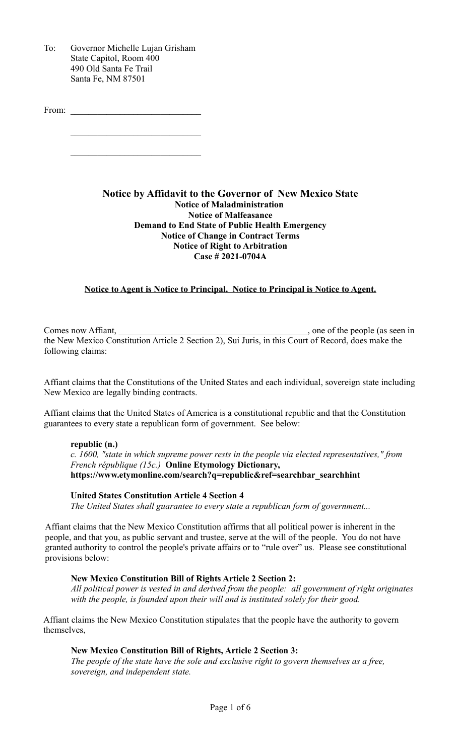To: Governor Michelle Lujan Grisham State Capitol, Room 400 490 Old Santa Fe Trail Santa Fe, NM 87501

From:

### **Notice by Affidavit to the Governor of New Mexico State Notice of Maladministration Notice of Malfeasance Demand to End State of Public Health Emergency Notice of Change in Contract Terms Notice of Right to Arbitration Case # 2021-0704A**

## **Notice to Agent is Notice to Principal. Notice to Principal is Notice to Agent.**

Comes now Affiant, \_\_\_\_\_\_\_\_\_\_\_\_\_\_\_\_\_\_\_\_\_\_\_\_\_\_\_\_\_\_\_\_\_\_\_\_\_\_\_\_\_\_, one of the people (as seen in the New Mexico Constitution Article 2 Section 2), Sui Juris, in this Court of Record, does make the following claims:

Affiant claims that the Constitutions of the United States and each individual, sovereign state including New Mexico are legally binding contracts.

Affiant claims that the United States of America is a constitutional republic and that the Constitution guarantees to every state a republican form of government. See below:

#### **republic (n.)**

*c. 1600, "state in which supreme power rests in the people via elected representatives," from French république (15c.)* **Online Etymology Dictionary, https://www.etymonline.com/search?q=republic&ref=searchbar\_searchhint**

#### **United States Constitution Article 4 Section 4**

*The United States shall guarantee to every state a republican form of government...*

Affiant claims that the New Mexico Constitution affirms that all political power is inherent in the people, and that you, as public servant and trustee, serve at the will of the people. You do not have granted authority to control the people's private affairs or to "rule over" us. Please see constitutional provisions below:

### **New Mexico Constitution Bill of Rights Article 2 Section 2:**

*All political power is vested in and derived from the people: all government of right originates with the people, is founded upon their will and is instituted solely for their good.* 

Affiant claims the New Mexico Constitution stipulates that the people have the authority to govern themselves,

### **New Mexico Constitution Bill of Rights, Article 2 Section 3:**

*The people of the state have the sole and exclusive right to govern themselves as a free, sovereign, and independent state.*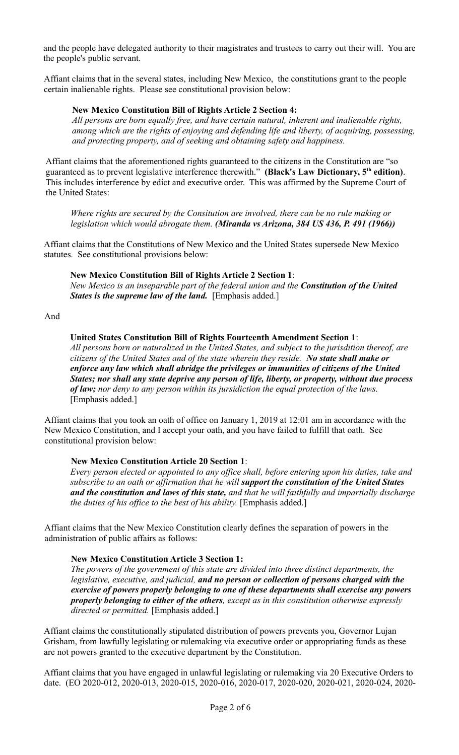and the people have delegated authority to their magistrates and trustees to carry out their will. You are the people's public servant.

Affiant claims that in the several states, including New Mexico, the constitutions grant to the people certain inalienable rights. Please see constitutional provision below:

## **New Mexico Constitution Bill of Rights Article 2 Section 4:**

*All persons are born equally free, and have certain natural, inherent and inalienable rights, among which are the rights of enjoying and defending life and liberty, of acquiring, possessing, and protecting property, and of seeking and obtaining safety and happiness.*

Affiant claims that the aforementioned rights guaranteed to the citizens in the Constitution are "so guaranteed as to prevent legislative interference therewith." **(Black's Law Dictionary, 5th edition)**. This includes interference by edict and executive order. This was affirmed by the Supreme Court of the United States:

*Where rights are secured by the Consitution are involved, there can be no rule making or legislation which would abrogate them. (Miranda vs Arizona, 384 US 436, P. 491 (1966))*

Affiant claims that the Constitutions of New Mexico and the United States supersede New Mexico statutes. See constitutional provisions below:

### **New Mexico Constitution Bill of Rights Article 2 Section 1**:

*New Mexico is an inseparable part of the federal union and the Constitution of the United States is the supreme law of the land.* [Emphasis added.]

#### And

#### **United States Constitution Bill of Rights Fourteenth Amendment Section 1**:

*All persons born or naturalized in the United States, and subject to the jurisdition thereof, are citizens of the United States and of the state wherein they reside. No state shall make or enforce any law which shall abridge the privileges or immunities of citizens of the United States; nor shall any state deprive any person of life, liberty, or property, without due process of law; nor deny to any person within its jursidiction the equal protection of the laws.*  [Emphasis added.]

Affiant claims that you took an oath of office on January 1, 2019 at 12:01 am in accordance with the New Mexico Constitution, and I accept your oath, and you have failed to fulfill that oath. See constitutional provision below:

### **New Mexico Constitution Article 20 Section 1**:

*Every person elected or appointed to any office shall, before entering upon his duties, take and subscribe to an oath or affirmation that he will support the constitution of the United States and the constitution and laws of this state, and that he will faithfully and impartially discharge the duties of his office to the best of his ability.* [Emphasis added.]

Affiant claims that the New Mexico Constitution clearly defines the separation of powers in the administration of public affairs as follows:

### **New Mexico Constitution Article 3 Section 1:**

*The powers of the government of this state are divided into three distinct departments, the legislative, executive, and judicial, and no person or collection of persons charged with the exercise of powers properly belonging to one of these departments shall exercise any powers properly belonging to either of the others, except as in this constitution otherwise expressly directed or permitted.* [Emphasis added.]

Affiant claims the constitutionally stipulated distribution of powers prevents you, Governor Lujan Grisham, from lawfully legislating or rulemaking via executive order or appropriating funds as these are not powers granted to the executive department by the Constitution.

Affiant claims that you have engaged in unlawful legislating or rulemaking via 20 Executive Orders to date. (EO 2020-012, 2020-013, 2020-015, 2020-016, 2020-017, 2020-020, 2020-021, 2020-024, 2020-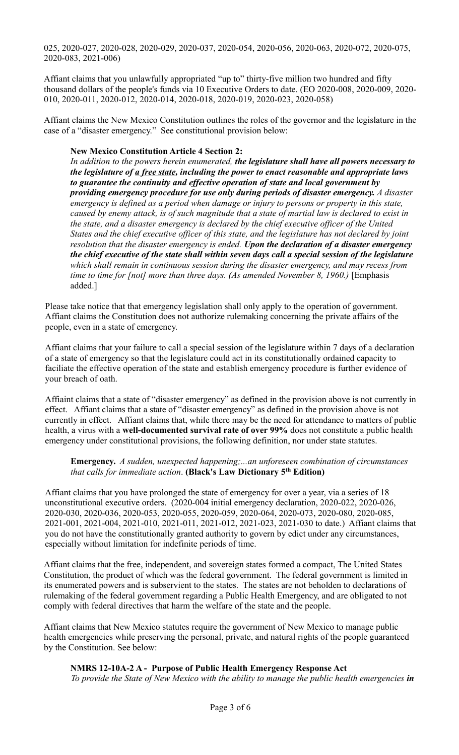025, 2020-027, 2020-028, 2020-029, 2020-037, 2020-054, 2020-056, 2020-063, 2020-072, 2020-075, 2020-083, 2021-006)

Affiant claims that you unlawfully appropriated "up to" thirty-five million two hundred and fifty thousand dollars of the people's funds via 10 Executive Orders to date. (EO 2020-008, 2020-009, 2020- 010, 2020-011, 2020-012, 2020-014, 2020-018, 2020-019, 2020-023, 2020-058)

Affiant claims the New Mexico Constitution outlines the roles of the governor and the legislature in the case of a "disaster emergency." See constitutional provision below:

#### **New Mexico Constitution Article 4 Section 2:**

*In addition to the powers herein enumerated, the legislature shall have all powers necessary to the legislature of a free state, including the power to enact reasonable and appropriate laws to guarantee the continuity and effective operation of state and local government by providing emergency procedure for use only during periods of disaster emergency. A disaster emergency is defined as a period when damage or injury to persons or property in this state, caused by enemy attack, is of such magnitude that a state of martial law is declared to exist in the state, and a disaster emergency is declared by the chief executive officer of the United States and the chief executive officer of this state, and the legislature has not declared by joint resolution that the disaster emergency is ended. Upon the declaration of a disaster emergency the chief executive of the state shall within seven days call a special session of the legislature which shall remain in continuous session during the disaster emergency, and may recess from time to time for [not] more than three days. (As amended November 8, 1960.)* [Emphasis added.]

Please take notice that that emergency legislation shall only apply to the operation of government. Affiant claims the Constitution does not authorize rulemaking concerning the private affairs of the people, even in a state of emergency.

Affiant claims that your failure to call a special session of the legislature within 7 days of a declaration of a state of emergency so that the legislature could act in its constitutionally ordained capacity to faciliate the effective operation of the state and establish emergency procedure is further evidence of your breach of oath.

Affiaint claims that a state of "disaster emergency" as defined in the provision above is not currently in effect. Affiant claims that a state of "disaster emergency" as defined in the provision above is not currently in effect. Affiant claims that, while there may be the need for attendance to matters of public health, a virus with a **well-documented survival rate of over 99%** does not constitute a public health emergency under constitutional provisions, the following definition, nor under state statutes.

**Emergency.** *A sudden, unexpected happening;...an unforeseen combination of circumstances that calls for immediate action*. **(Black's Law Dictionary 5th Edition)**

Affiant claims that you have prolonged the state of emergency for over a year, via a series of 18 unconstitutional executive orders. (2020-004 initial emergency declaration, 2020-022, 2020-026, 2020-030, 2020-036, 2020-053, 2020-055, 2020-059, 2020-064, 2020-073, 2020-080, 2020-085, 2021-001, 2021-004, 2021-010, 2021-011, 2021-012, 2021-023, 2021-030 to date.) Affiant claims that you do not have the constitutionally granted authority to govern by edict under any circumstances, especially without limitation for indefinite periods of time.

Affiant claims that the free, independent, and sovereign states formed a compact, The United States Constitution, the product of which was the federal government. The federal government is limited in its enumerated powers and is subservient to the states. The states are not beholden to declarations of rulemaking of the federal government regarding a Public Health Emergency, and are obligated to not comply with federal directives that harm the welfare of the state and the people.

Affiant claims that New Mexico statutes require the government of New Mexico to manage public health emergencies while preserving the personal, private, and natural rights of the people guaranteed by the Constitution. See below:

### **NMRS 12-10A-2 A - Purpose of Public Health Emergency Response Act**

*To provide the State of New Mexico with the ability to manage the public health emergencies in*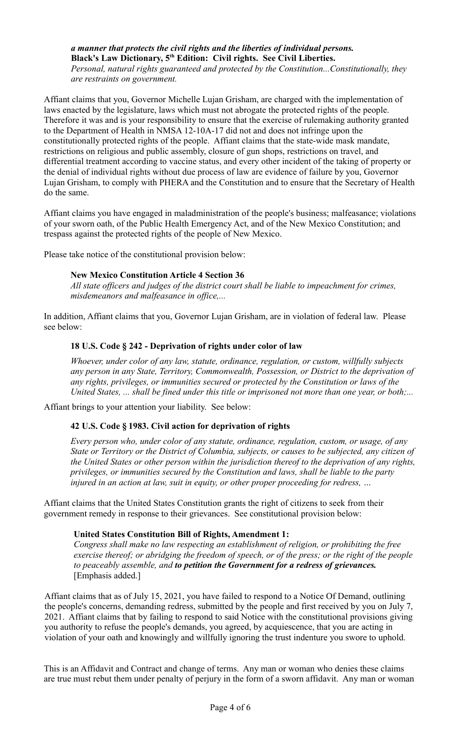*a manner that protects the civil rights and the liberties of individual persons.* **Black's Law Dictionary, 5th Edition: Civil rights. See Civil Liberties.**

*Personal, natural rights guaranteed and protected by the Constitution...Constitutionally, they are restraints on government.* 

Affiant claims that you, Governor Michelle Lujan Grisham, are charged with the implementation of laws enacted by the legislature, laws which must not abrogate the protected rights of the people. Therefore it was and is your responsibility to ensure that the exercise of rulemaking authority granted to the Department of Health in NMSA 12-10A-17 did not and does not infringe upon the constitutionally protected rights of the people. Affiant claims that the state-wide mask mandate, restrictions on religious and public assembly, closure of gun shops, restrictions on travel, and differential treatment according to vaccine status, and every other incident of the taking of property or the denial of individual rights without due process of law are evidence of failure by you, Governor Lujan Grisham, to comply with PHERA and the Constitution and to ensure that the Secretary of Health do the same.

Affiant claims you have engaged in maladministration of the people's business; malfeasance; violations of your sworn oath, of the Public Health Emergency Act, and of the New Mexico Constitution; and trespass against the protected rights of the people of New Mexico.

Please take notice of the constitutional provision below:

# **New Mexico Constitution Article 4 Section 36**

*All state officers and judges of the district court shall be liable to impeachment for crimes, misdemeanors and malfeasance in office,...*

In addition, Affiant claims that you, Governor Lujan Grisham, are in violation of federal law. Please see below:

# **18 U.S. Code § 242 - Deprivation of rights under color of law**

*Whoever, under color of any law, statute, ordinance, regulation, or custom, willfully subjects any person in any State, Territory, Commonwealth, Possession, or District to the deprivation of any rights, privileges, or immunities secured or protected by the Constitution or laws of the United States, ... shall be fined under this title or imprisoned not more than one year, or both;...*

Affiant brings to your attention your liability. See below:

# **42 U.S. Code § 1983. Civil action for deprivation of rights**

*Every person who, under color of any statute, ordinance, regulation, custom, or usage, of any State or Territory or the District of Columbia, subjects, or causes to be subjected, any citizen of the United States or other person within the jurisdiction thereof to the deprivation of any rights, privileges, or immunities secured by the Constitution and laws, shall be liable to the party injured in an action at law, suit in equity, or other proper proceeding for redress, …*

Affiant claims that the United States Constitution grants the right of citizens to seek from their government remedy in response to their grievances. See constitutional provision below:

## **United States Constitution Bill of Rights, Amendment 1:**

*Congress shall make no law respecting an establishment of religion, or prohibiting the free exercise thereof; or abridging the freedom of speech, or of the press; or the right of the people to peaceably assemble, and to petition the Government for a redress of grievances.*  [Emphasis added.]

Affiant claims that as of July 15, 2021, you have failed to respond to a Notice Of Demand, outlining the people's concerns, demanding redress, submitted by the people and first received by you on July 7, 2021. Affiant claims that by failing to respond to said Notice with the constitutional provisions giving you authority to refuse the people's demands, you agreed, by acquiescence, that you are acting in violation of your oath and knowingly and willfully ignoring the trust indenture you swore to uphold.

This is an Affidavit and Contract and change of terms. Any man or woman who denies these claims are true must rebut them under penalty of perjury in the form of a sworn affidavit. Any man or woman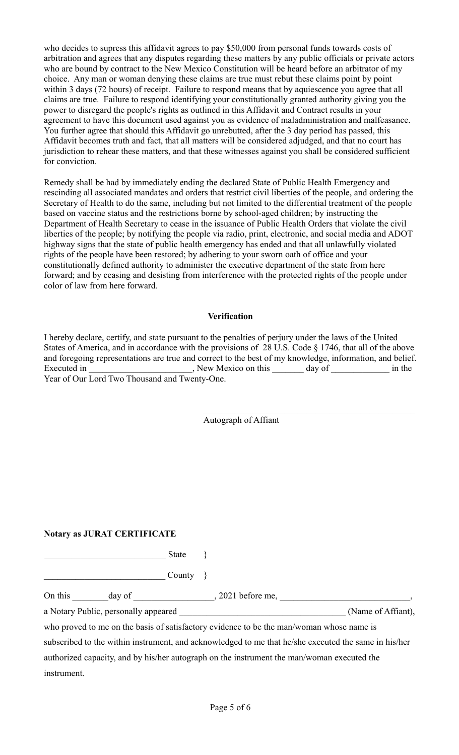who decides to supress this affidavit agrees to pay \$50,000 from personal funds towards costs of arbitration and agrees that any disputes regarding these matters by any public officials or private actors who are bound by contract to the New Mexico Constitution will be heard before an arbitrator of my choice. Any man or woman denying these claims are true must rebut these claims point by point within 3 days (72 hours) of receipt. Failure to respond means that by aquiescence you agree that all claims are true. Failure to respond identifying your constitutionally granted authority giving you the power to disregard the people's rights as outlined in this Affidavit and Contract results in your agreement to have this document used against you as evidence of maladministration and malfeasance. You further agree that should this Affidavit go unrebutted, after the 3 day period has passed, this Affidavit becomes truth and fact, that all matters will be considered adjudged, and that no court has jurisdiction to rehear these matters, and that these witnesses against you shall be considered sufficient for conviction.

Remedy shall be had by immediately ending the declared State of Public Health Emergency and rescinding all associated mandates and orders that restrict civil liberties of the people, and ordering the Secretary of Health to do the same, including but not limited to the differential treatment of the people based on vaccine status and the restrictions borne by school-aged children; by instructing the Department of Health Secretary to cease in the issuance of Public Health Orders that violate the civil liberties of the people; by notifying the people via radio, print, electronic, and social media and ADOT highway signs that the state of public health emergency has ended and that all unlawfully violated rights of the people have been restored; by adhering to your sworn oath of office and your constitutionally defined authority to administer the executive department of the state from here forward; and by ceasing and desisting from interference with the protected rights of the people under color of law from here forward.

#### **Verification**

I hereby declare, certify, and state pursuant to the penalties of perjury under the laws of the United States of America, and in accordance with the provisions of 28 U.S. Code § 1746, that all of the above and foregoing representations are true and correct to the best of my knowledge, information, and belief. Executed in \_\_\_\_\_\_\_\_\_\_\_\_\_\_\_\_\_\_\_\_\_, New Mexico on this \_\_\_\_\_\_\_ day of \_\_\_\_\_\_\_\_\_\_\_\_ in the Year of Our Lord Two Thousand and Twenty-One.

Autograph of Affiant

### **Notary as JURAT CERTIFICATE**

\_\_\_\_\_\_\_\_\_\_\_\_\_\_\_\_\_\_\_\_\_\_\_\_\_\_\_ State }

 $\begin{array}{ccc}\n\text{Country} & \text{} \end{array}$ 

On this \_\_\_\_\_\_\_\_day of \_\_\_\_\_\_\_\_\_\_\_\_\_\_\_\_, 2021 before me, \_\_\_\_\_\_\_\_\_\_\_\_\_\_\_\_\_\_\_\_\_\_\_

a Notary Public, personally appeared  $(Name of Affiant)$ ,

who proved to me on the basis of satisfactory evidence to be the man/woman whose name is

subscribed to the within instrument, and acknowledged to me that he/she executed the same in his/her authorized capacity, and by his/her autograph on the instrument the man/woman executed the instrument.